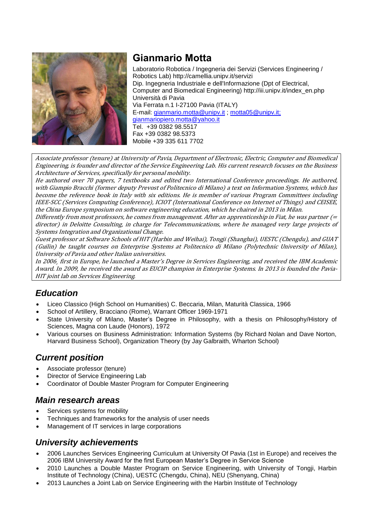

# **Gianmario Motta**

Laboratorio Robotica / Ingegneria dei Servizi (Services Engineering / Robotics Lab) http://camellia.unipv.it/servizi Dip. Ingegneria Industriale e dell'Informazione (Dpt of Electrical, Computer and Biomedical Engineering) http://iii.unipv.it/index\_en.php Università di Pavia Via Ferrata n.1 I-27100 Pavia (ITALY) E-mail: [gianmario.motta@unipv.it](mailto:gianmario.motta@unipv.it) ; [motta05@unipv.it;](mailto:motta05@unipv.it) [gianmariopiero.motta@yahoo.it](mailto:gianmariio.piero.motta@yahoo.it) Tel. +39 0382 98.5517 Fax +39 0382 98.5373 Mobile +39 335 611 7702

Associate professor (tenure) at University of Pavia, Department of Electronic, Electric, Computer and Biomedical Engineering, is founder and director of the Service Engineering Lab. His current research focuses on the Business Architecture of Services, specifically for personal mobility.

He authored over 70 papers, 7 textbooks and edited two International Conference proceedings. He authored, with Giampio Bracchi (former deputy Prevost of Politecnico di Milano) a text on Information Systems, which has become the reference book in Italy with six editions. He is member of various Program Committees including IEEE-SCC (Services Computing Conference), ICIOT (International Conference on Internet of Things) and CEISEE, the China Europe symposium on software engineering education, which he chaired in 2013 in Milan.

Differently from most professors, he comes from management. After an apprenticeship in Fiat, he was partner (= director) in Deloitte Consulting, in charge for Telecommunications, where he managed very large projects of Systems Integration and Organizational Change.

Guest professor at Software Schools of HIT (Harbin and Weihai), Tongji (Shanghai), UESTC (Chengdu), and GUAT (Guilin) he taught courses on Enterprise Systems at Politecnico di Milano (Polytechnic University of Milan), University of Pavia and other Italian universities.

In 2006¸ first in Europe, he launched a Master's Degree in Services Engineering, and received the IBM Academic Award. In 2009, he received the award as EUCIP champion in Enterprise Systems. In 2013 is founded the Pavia-HIT joint lab on Services Engineering.

## *Education*

- Liceo Classico (High School on Humanities) C. Beccaria, Milan, Maturità Classica, 1966
- School of Artillery, Bracciano (Rome), Warrant Officer 1969-1971
- State University of Milano, Master's Degree in Philosophy, with a thesis on Philosophy/History of Sciences, Magna con Laude (Honors), 1972
- Various courses on Business Administration: Information Systems (by Richard Nolan and Dave Norton, Harvard Business School), Organization Theory (by Jay Galbraith, Wharton School)

### *Current position*

- Associate professor (tenure)
- Director of Service Engineering Lab
- Coordinator of Double Master Program for Computer Engineering

### *Main research areas*

- Services systems for mobility
- Techniques and frameworks for the analysis of user needs
- Management of IT services in large corporations

## *University achievements*

- 2006 Launches Services Engineering Curriculum at University Of Pavia (1st in Europe) and receives the 2006 IBM University Award for the first European Master's Degree in Service Science
- 2010 Launches a Double Master Program on Service Engineering, with University of Tongji, Harbin Institute of Technology (China), UESTC (Chengdu, China), NEU (Shenyang, China)
- 2013 Launches a Joint Lab on Service Engineering with the Harbin Institute of Technology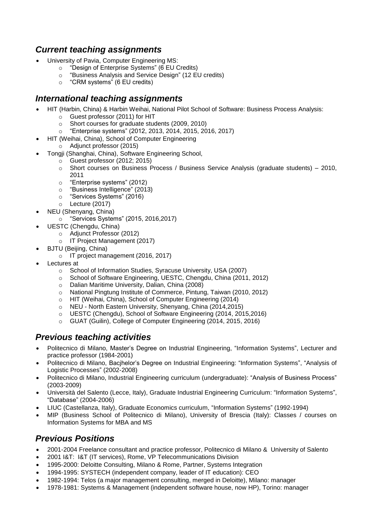## *Current teaching assignments*

- University of Pavia, Computer Engineering MS:
	- o "Design of Enterprise Systems" (6 EU Credits)
	- o "Business Analysis and Service Design" (12 EU credits)
	- o "CRM systems" (6 EU credits)

### *International teaching assignments*

- HIT (Harbin, China) & Harbin Weihai, National Pilot School of Software: Business Process Analysis:
	- o Guest professor (2011) for HIT
	- o Short courses for graduate students (2009, 2010)
	- o "Enterprise systems" (2012, 2013, 2014, 2015, 2016, 2017)
- HIT (Weihai, China), School of Computer Engineering
	- o Adjunct professor (2015)
- Tongji (Shanghai, China), Software Engineering School,
	- o Guest professor (2012; 2015)
		- o Short courses on Business Process / Business Service Analysis (graduate students) 2010, 2011
		- o "Enterprise systems" (2012)
		- o "Business Intelligence" (2013)
		- o "Services Systems" (2016)
		- o Lecture (2017)
- NEU (Shenyang, China)
	- o "Services Systems" (2015, 2016,2017)
- UESTC (Chengdu, China)
	- o Adjunct Professor (2012)
	- o IT Project Management (2017)
- BJTU (Beijing, China)
	- o IT project management (2016, 2017)
- Lectures at
	- o School of Information Studies, Syracuse University, USA (2007)
	- o School of Software Engineering, UESTC, Chengdu, China (2011, 2012)
	- o Dalian Maritime University, Dalian, China (2008)
	- o National Pingtung Institute of Commerce, Pintung, Taiwan (2010, 2012)
	- o HIT (Weihai, China), School of Computer Engineering (2014)
	- o NEU North Eastern University, Shenyang, China (2014,2015)
	- o UESTC (Chengdu), School of Software Engineering (2014, 2015,2016)
	- o GUAT (Guilin), College of Computer Engineering (2014, 2015, 2016)

## *Previous teaching activities*

- Politecnico di Milano, Master's Degree on Industrial Engineering, "Information Systems", Lecturer and practice professor (1984-2001)
- Politecnico di Milano, Bacjhelor's Degree on Industrial Engineering: "Information Systems", "Analysis of Logistic Processes" (2002-2008)
- Politecnico di Milano, Industrial Engineering curriculum (undergraduate): "Analysis of Business Process" (2003-2009)
- Università del Salento (Lecce, Italy), Graduate Industrial Engineering Curriculum: "Information Systems", "Database" (2004-2006)
- LIUC (Castellanza, Italy), Graduate Economics curriculum, "Information Systems" (1992-1994)
- MIP (Business School of Politecnico di Milano), University of Brescia (Italy): Classes / courses on Information Systems for MBA and MS

### *Previous Positions*

- 2001-2004 Freelance consultant and practice professor, Politecnico di Milano & University of Salento
- 2001 I&T: I&T (IT services), Rome, VP Telecommunications Division
- 1995-2000: Deloitte Consulting, Milano & Rome, Partner, Systems Integration
- 1994-1995: SYSTECH (independent company, leader of IT education): CEO
- 1982-1994: Telos (a major management consulting, merged in Deloitte), Milano: manager
- 1978-1981: Systems & Management (independent software house, now HP), Torino: manager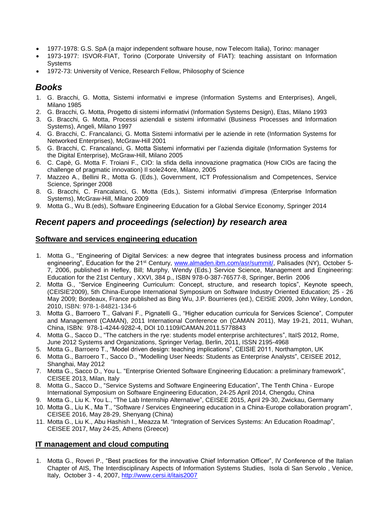- 1977-1978: G.S. SpA (a major independent software house, now Telecom Italia), Torino: manager
- 1973-1977: ISVOR-FIAT, Torino (Corporate University of FIAT): teaching assistant on Information **Systems**
- 1972-73: University of Venice, Research Fellow, Philosophy of Science

#### *Books*

- 1. G. Bracchi, G. Motta, Sistemi informativi e imprese (Information Systems and Enterprises), Angeli, Milano 1985
- 2. G. Bracchi, G. Motta, Progetto di sistemi informativi (Information Systems Design), Etas, Milano 1993
- 3. G. Bracchi, G. Motta, Processi aziendali e sistemi informativi (Business Processes and Information Systems), Angeli, Milano 1997
- 4. G. Bracchi, C. Francalanci, G. Motta Sistemi informativi per le aziende in rete (Information Systems for Networked Enterprises), McGraw-Hill 2001
- 5. G. Bracchi, C. Francalanci, G. Motta Sistemi informativi per l'azienda digitale (Information Systems for the Digital Enterprise), McGraw-Hill, Milano 2005
- 6. C. Capè, G. Motta F. Troiani F., CIO: la sfida della innovazione pragmatica (How CIOs are facing the challenge of pragmatic innovation) Il sole24ore, Milano, 2005
- 7. Mazzeo A., Bellini R., Motta G. (Eds.), Government, ICT Professionalism and Competences, Service Science, Springer 2008
- 8. G. Bracchi, C. Francalanci, G. Motta (Eds.), Sistemi informativi d'impresa (Enterprise Information Systems), McGraw-Hill, Milano 2009
- 9. Motta G., Wu B.(eds), Software Engineering Education for a Global Service Economy, Springer 2014

### *Recent papers and proceedings (selection) by research area*

#### **Software and services engineering education**

- 1. Motta G., "Engineering of Digital Services: a new degree that integrates business process and information engineering", Education for the 21<sup>st</sup> Century, [www.almaden.ibm.com/asr/summit/,](http://www.almaden.ibm.com/asr/summit/) Palisades (NY), October 5-7, 2006, published in Hefley, Bill; Murphy, Wendy (Eds.) Service Science, Management and Engineering: Education for the 21st Century , XXVI, 384 p., ISBN 978-0-387-76577-8, Springer, Berlin 2006
- 2. Motta G., "Service Engineering Curriculum: Concept, structure, and research topics", Keynote speech, (CEISIE'2009), 5th China-Europe International Symposium on Software Industry Oriented Education; 25 - 26 May 2009; Bordeaux, France published as Bing Wu, J.P. Bourrieres (ed.), CEISIE 2009, John Wiley, London, 2010, ISBN: 978-1-84821-134-6
- 3. Motta G., Barroero T., Galvani F., Pignatelli G., "Higher education curricula for Services Science", Computer and Management (CAMAN), 2011 International Conference on (CAMAN 2011), May 19-21, 2011, Wuhan, China, ISBN: 978-1-4244-9282-4, DOI 10.1109/CAMAN.2011.5778843
- 4. Motta G., Sacco D., "The catchers in the rye: students model enterprise architectures", ItaIS 2012, Rome, June 2012 Systems and Organizations, Springer Verlag, Berlin, 2011, ISSN 2195-4968
- 5. Motta G., Barroero T., "Model driven design: teaching implications", CEISIE 2011, Northampton, UK
- 6. Motta G., Barroero T., Sacco D., "Modelling User Needs: Students as Enterprise Analysts", CEISEE 2012, Shanghai, May 2012
- 7. Motta G., Sacco D., You L. "Enterprise Oriented Software Engineering Education: a preliminary framework", CEISEE 2013, Milan, Italy
- 8. Motta G., Sacco D., "Service Systems and Software Engineering Education", The Tenth China Europe International Symposium on Software Engineering Education, 24-25 April 2014, Chengdu, China
- 9. Motta G., Liu K. You L., "The Lab Internship Alternative", CEISEE 2015, April 29-30, Zwickau, Germany
- 10. Motta G., Liu K., Ma T., "Software / Services Engineering education in a China-Europe collaboration program", CEISEE 2016, May 28-29, Shenyang (China)
- 11. Motta G., Liu K., Abu Hashish I., Meazza M. "Integration of Services Systems: An Education Roadmap", CEISEE 2017, May 24-25, Athens (Greece)

#### **IT management and cloud computing**

1. Motta G., Roveri P., "Best practices for the innovative Chief Information Officer", IV Conference of the Italian Chapter of AIS, The Interdisciplinary Aspects of Information Systems Studies, Isola di San Servolo , Venice, Italy, October 3 - 4, 2007,<http://www.cersi.it/itais2007>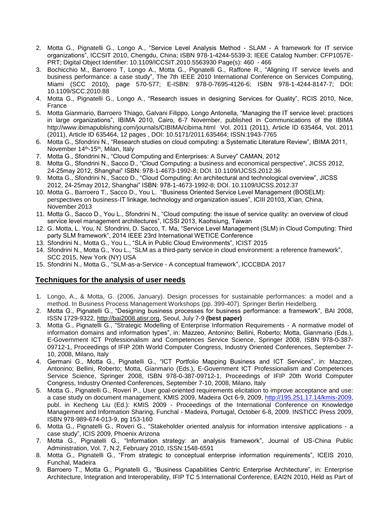- 2. Motta G., Pignatelli G., Longo A., "Service Level Analysis Method SLAM A framework for IT service organizations", ICCSIT 2010, Chengdu, China; ISBN 978-1-4244-5539-3; IEEE Catalog Number: CFP1057E-PRT; Digital Object Identifier: 10.1109/ICCSIT.2010.5563930 Page(s): 460 - 466
- 3. Bochicchio M., Barroero T, Longo A., Motta G., Pignatelli G., Raffone R., "Aligning IT service levels and business performance: a case study", The 7th IEEE 2010 International Conference on Services Computing, Miami (SCC 2010), page 570-577; E-ISBN: 978-0-7695-4126-6; ISBN 978-1-4244-8147-7; DOI: 10.1109/SCC.2010.88
- 4. Motta G., Pignatelli G., Longo A., "Research issues in designing Services for Quality", RCIS 2010, Nice, France
- 5. Motta Gianmario, Barroero Thiago, Galvani Filippo, Longo Antonella, "Managing the IT service level: practices in large organizations", IBIMA 2010, Cairo, 6-7 November, published in Communications of the IBIMA http://www.ibimapublishing.com/journals/CIBIMA/cibima.html Vol. 2011 (2011), Article ID 635464, Vol. 2011 (2011), Article ID 635464, 12 pages , DOI: 10.5171/2011.635464; ISSN:1943-7765
- 6. Motta G., Sfondrini N., "Research studies on cloud computing: a Systematic Literature Review", IBIMA 2011, November 14<sup>th</sup>-15<sup>th</sup>, Milan, Italy
- 7. Motta G., Sfondrini N., "Cloud Computing and Enterprises: A Survey" CAMAN, 2012
- 8. Motta G., Sfondrini N., Sacco D., "Cloud Computing: a business and economical perspective", JICSS 2012, 24-25may 2012, Shanghai" ISBN: 978-1-4673-1992-8; DOI. 10.1109/IJCSS.2012.36
- 9. Motta G., Sfondrini N., Sacco D., "Cloud Computing: An architectural and technological overview", JICSS 2012, 24-25may 2012, Shanghai" ISBN: 978-1-4673-1992-8; DOI. 10.1109/IJCSS.2012.37
- 10. Motta G., Barroero T., Sacco D., You L. "Business Oriented Service Level Management (BOSELM): perspectives on business-IT linkage, technology and organization issues", ICIII 20103, X'ian, China, November 2013
- 11. Motta G., Sacco D., You L., Sfondrini N., "Cloud computing: the issue of service quality: an overview of cloud service level management architectures", ICSSI 2013, Kaohsiung, Taiwan
- 12. G. Motta, L. You, N. Sfondrini, D. Sacco, T. Ma, "Service Level Management (SLM) in Cloud Computing: Third party SLM framework", 2014 IEEE 23rd International WETICE Conference
- 13. Sfondrini N., Motta G., You L., "SLA in Public Cloud Environments", ICIST 2015
- 14. Sfondrini N., Motta G., You L., "SLM as a third-party service in cloud environment: a reference framework", SCC 2015, New York (NY) USA
- 15. Sfondrini N., Motta G., "SLM-as-a-Service A conceptual framework", ICCCBDA 2017

#### **Techniques for the analysis of user needs**

- 1. Longo, A., & Motta, G. (2006, January). Design processes for sustainable performances: a model and a method. In Business Process Management Workshops (pp. 399-407). Springer Berlin Heidelberg.
- 2. Motta G., Pignatelli G., "Designing business processes for business performance: a framework", BAI 2008, ISSN 1729-9322, [http://bai2008.atisr.org,](http://bai2008.atisr.org/) Seoul, July 7-9 **(best paper)**
- 3. Motta G., Pignatelli G., "Strategic Modelling of Enterprise Information Requirements A normative model of information domains and information types", in: Mazzeo, Antonino; Bellini, Roberto; Motta, Gianmario (Eds.), E-Government ICT Professionalism and Competences Service Science, Springer 2008, ISBN 978-0-387- 09712-1, Proceedings of IFIP 20th World Computer Congress, Industry Oriented Conferences, September 7- 10, 2008, Milano, Italy
- 4. Germani G., Motta G., Pignatelli G., "ICT Portfolio Mapping Business and ICT Services", in: Mazzeo, Antonino; Bellini, Roberto; Motta, Gianmario (Eds.), E-Government ICT Professionalism and Competences Service Science, Springer 2008, ISBN 978-0-387-09712-1, Proceedings of IFIP 20th World Computer Congress, Industry Oriented Conferences, September 7-10, 2008, Milano, Italy
- 5. Motta G., Pignatelli G., Roveri P., User goal-oriented requirements elicitation to improve acceptance and use: a case study on document management, KMIS 2009, Madeira Oct 6-9, 2009, [http://195.251.17.14/kmis-2009,](http://195.251.17.14/kmis-2009) publ. in Kecheng Liu (Ed.): KMIS 2009 - Proceedings of the International Conference on Knowledge Management and Information Sharing, Funchal - Madeira, Portugal, October 6-8, 2009. INSTICC Press 2009, ISBN 978-989-674-013-9, pg 153-160
- 6. Motta G., Pignatelli G., Roveri G., "Stakeholder oriented analysis for information intensive applications a case study", ICIS 2009, Phoenix Arizona
- 7. Motta G., Pignatelli G., "Information strategy: an analysis framework", Journal of US-China Public Administration, Vol. 7, N.2, February 2010, ISSN:1548-6591
- 8. Motta G., Pignatelli G., "From strategic to conceptual enterprise information requirements", ICEIS 2010, Funchal, Madeira
- 9. Barroero T., Motta G., Pignatelli G., "Business Capabilities Centric Enterprise Architecture", in: Enterprise Architecture, Integration and Interoperability, IFIP TC 5 International Conference, EAI2N 2010, Held as Part of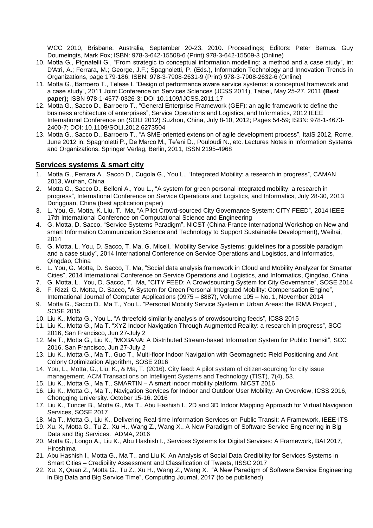WCC 2010, Brisbane, Australia, September 20-23, 2010. Proceedings; Editors: Peter Bernus, Guy Doumeingts, Mark Fox; ISBN: 978-3-642-15508-6 (Print) 978-3-642-15509-3 (Online)

- 10. Motta G., Pignatelli G., "From strategic to conceptual information modelling: a method and a case study", in: D'Atri, A.; Ferrara, M.; George, J.F.; Spagnoletti, P. (Eds.), Information Technology and Innovation Trends in Organizations, page 179-186; ISBN: 978-3-7908-2631-9 (Print) 978-3-7908-2632-6 (Online)
- 11. Motta G., Barroero T., Telese I. "Design of performance aware service systems: a conceptual framework and a case study", 2011 Joint Conference on Services Sciences (JCSS 2011), Taipei, May 25-27, 2011 **(Best paper);** ISBN 978-1-4577-0326-3; DOI 10.1109/IJCSS.2011.17
- 12. Motta G., Sacco D., Barroero T., "General Enterprise Framework (GEF): an agile framework to define the business architecture of enterprises", Service Operations and Logistics, and Informatics, 2012 IEEE International Conference on (SOLI 2012) Suzhou, China, July 8-10, 2012; Pages 54-59; ISBN: 978-1-4673- 2400-7; DOI: 10.1109/SOLI.2012.6273504
- 13. Motta G., Sacco D., Barroero T., "A SME-oriented extension of agile development process", ItaIS 2012, Rome, June 2012 in: Spagnoletti P., De Marco M., Te'eni D., Pouloudi N., etc. Lectures Notes in Information Systems and Organizations, Springer Verlag, Berlin, 2011, ISSN 2195-4968

#### **Services systems & smart city**

- 1. Motta G., Ferrara A., Sacco D., Cugola G., You L., "Integrated Mobility: a research in progress", CAMAN 2013, Wuhan, China
- 2. Motta G., Sacco D., Belloni A., You L., "A system for green personal integrated mobility: a research in progress", International Conference on Service Operations and Logistics, and Informatics, July 28-30, 2013 Dongguan, China (best application paper)
- 3. L. You, G. Motta, K. Liu, T. Ma, "A Pilot Crowd-sourced City Governance System: CITY FEED", 2014 IEEE 17th International Conference on Computational Science and Engineering
- 4. G. Motta, D. Sacco, "Service Systems Paradigm", NICST (China-France International Workshop on New and smart Information Communication Science and Technology to Support Sustainable Development), Weihai, 2014
- 5. G. Motta, L. You, D. Sacco, T. Ma, G. Miceli, "Mobility Service Systems: guidelines for a possible paradigm and a case study", 2014 International Conference on Service Operations and Logistics, and Informatics, Qingdao, China
- 6. L. You, G. Motta, D. Sacco, T. Ma, "Social data analysis framework in Cloud and Mobility Analyzer for Smarter Cities", 2014 International Conference on Service Operations and Logistics, and Informatics, Qingdao, China
- 7. G. Motta, L. You, D. Sacco, T. Ma, "CITY FEED: A Crowdsourcing System for City Governance", SOSE 2014 8. F. Rizzi, G. Motta, D. Sacco, "A System for Green Personal Integrated Mobility: Compensation Engine",
- International Journal of Computer Applications (0975 8887), Volume 105 No. 1, November 2014
- 9. Motta G., Sacco D., Ma T., You L. "Personal Mobility Service System in Urban Areas: the IRMA Project", SOSE 2015
- 10. Liu K., Motta G., You L. "A threefold similarity analysis of crowdsourcing feeds", ICSS 2015
- 11. Liu K., Motta G., Ma T. "XYZ Indoor Navigation Through Augmented Reality: a research in progress", SCC 2016, San Francisco, Jun 27-July 2
- 12. Ma T., Motta G., Liu K., "MOBANA: A Distributed Stream-based Information System for Public Transit", SCC 2016, San Francisco, Jun 27-July 2
- 13. Liu K., Motta G., Ma T., Guo T., Multi-floor Indoor Navigation with Geomagnetic Field Positioning and Ant Colony Optimization Algorithm, SOSE 2016
- 14. You, L., Motta, G., Liu, K., & Ma, T. (2016). City feed: A pilot system of citizen-sourcing for city issue management. ACM Transactions on Intelligent Systems and Technology (TIST), 7(4), 53.
- 15. Liu K., Motta G., Ma T., SMARTIN A smart indoor mobility platform, NICST 2016
- 16. Liu K., Motta G., Ma T., Navigation Services for Indoor and Outdoor User Mobility: An Overview, ICSS 2016, Chongqing University. October 15-16. 2016
- 17. Liu K., Tuncer B., Motta G., Ma T., Abu Hashish I., 2D and 3D Indoor Mapping Approach for Virtual Navigation Services, SOSE 2017
- 18. Ma T., Motta G., Liu K., Delivering Real-time Information Services on Public Transit: A Framework, IEEE-ITS
- 19. Xu. X, Motta G., Tu Z., Xu H., Wang Z., Wang X., A New Paradigm of Software Service Engineering in Big Data and Big Services. ADMA, 2016
- 20. Motta G., Longo A., Liu K., Abu Hashish I., Services Systems for Digital Services: A Framework, BAI 2017, Hiroshima
- 21. Abu Hashish I., Motta G., Ma T., and Liu K. An Analysis of Social Data Credibility for Services Systems in Smart Cities – Credibility Assessment and Classification of Tweets, IISSC 2017
- 22. Xu. X, Quan Z., Motta G., Tu Z., Xu H., Wang Z., Wang X. "A New Paradigm of Software Service Engineering in Big Data and Big Service Time", Computing Journal, 2017 (to be published)